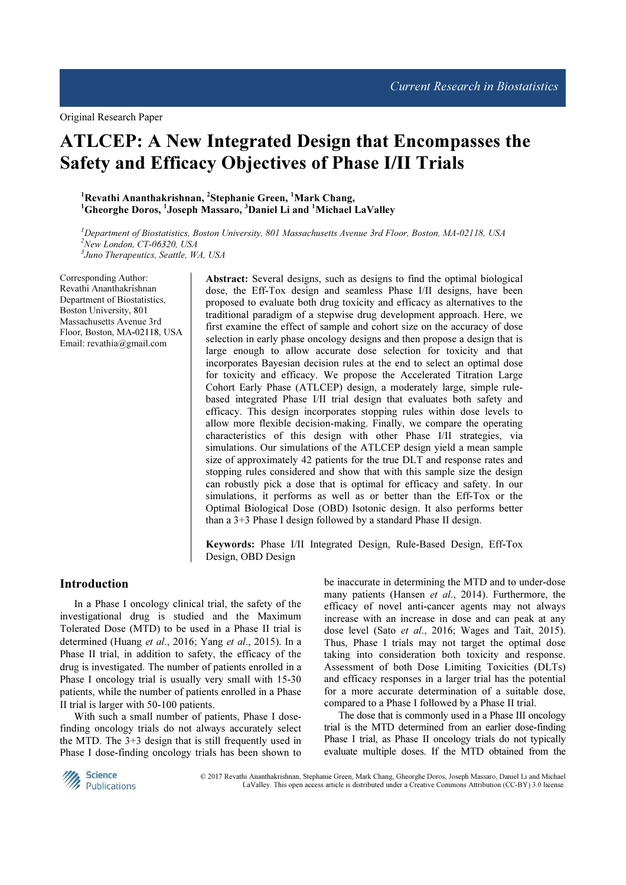Original Research Paper

# ATLCEP: A New Integrated Design that Encompasses the Safety and Efficacy Objectives of Phase I/II Trials

 ${}^{1}$ Revathi Ananthakrishnan, <sup>2</sup>Stephanie Green, <sup>1</sup>Mark Chang, <sup>1</sup>Gheorghe Doros, <sup>1</sup>Joseph Massaro, <sup>3</sup>Daniel Li and <sup>1</sup>Michael LaValley

<sup>1</sup>Department of Biostatistics, Boston University, 801 Massachusetts Avenue 3rd Floor, Boston, MA-02118, USA <sup>2</sup>New London, CT-06320, USA <sup>3</sup> Juno Therapeutics, Seattle, WA, USA

Corresponding Author: Revathi Ananthakrishnan Department of Biostatistics, Boston University, 801 Massachusetts Avenue 3rd Floor, Boston, MA-02118, USA Email: revathia@gmail.com

Abstract: Several designs, such as designs to find the optimal biological dose, the Eff-Tox design and seamless Phase I/II designs, have been proposed to evaluate both drug toxicity and efficacy as alternatives to the traditional paradigm of a stepwise drug development approach. Here, we first examine the effect of sample and cohort size on the accuracy of dose selection in early phase oncology designs and then propose a design that is large enough to allow accurate dose selection for toxicity and that incorporates Bayesian decision rules at the end to select an optimal dose for toxicity and efficacy. We propose the Accelerated Titration Large Cohort Early Phase (ATLCEP) design, a moderately large, simple rulebased integrated Phase I/II trial design that evaluates both safety and efficacy. This design incorporates stopping rules within dose levels to allow more flexible decision-making. Finally, we compare the operating characteristics of this design with other Phase I/II strategies, via simulations. Our simulations of the ATLCEP design yield a mean sample size of approximately 42 patients for the true DLT and response rates and stopping rules considered and show that with this sample size the design can robustly pick a dose that is optimal for efficacy and safety. In our simulations, it performs as well as or better than the Eff-Tox or the Optimal Biological Dose (OBD) Isotonic design. It also performs better than a 3+3 Phase I design followed by a standard Phase II design.

Keywords: Phase I/II Integrated Design, Rule-Based Design, Eff-Tox Design, OBD Design

# Introduction

In a Phase I oncology clinical trial, the safety of the investigational drug is studied and the Maximum Tolerated Dose (MTD) to be used in a Phase II trial is determined (Huang et al., 2016; Yang et al., 2015). In a Phase II trial, in addition to safety, the efficacy of the drug is investigated. The number of patients enrolled in a Phase I oncology trial is usually very small with 15-30 patients, while the number of patients enrolled in a Phase II trial is larger with 50-100 patients.

With such a small number of patients, Phase I dosefinding oncology trials do not always accurately select the MTD. The 3+3 design that is still frequently used in Phase I dose-finding oncology trials has been shown to be inaccurate in determining the MTD and to under-dose many patients (Hansen et al., 2014). Furthermore, the efficacy of novel anti-cancer agents may not always increase with an increase in dose and can peak at any dose level (Sato et al., 2016; Wages and Tait, 2015). Thus, Phase I trials may not target the optimal dose taking into consideration both toxicity and response. Assessment of both Dose Limiting Toxicities (DLTs) and efficacy responses in a larger trial has the potential for a more accurate determination of a suitable dose, compared to a Phase I followed by a Phase II trial.

The dose that is commonly used in a Phase III oncology trial is the MTD determined from an earlier dose-finding Phase I trial, as Phase II oncology trials do not typically evaluate multiple doses. If the MTD obtained from the



 © 2017 Revathi Ananthakrishnan, Stephanie Green, Mark Chang, Gheorghe Doros, Joseph Massaro, Daniel Li and Michael LaValley. This open access article is distributed under a Creative Commons Attribution (CC-BY) 3.0 license.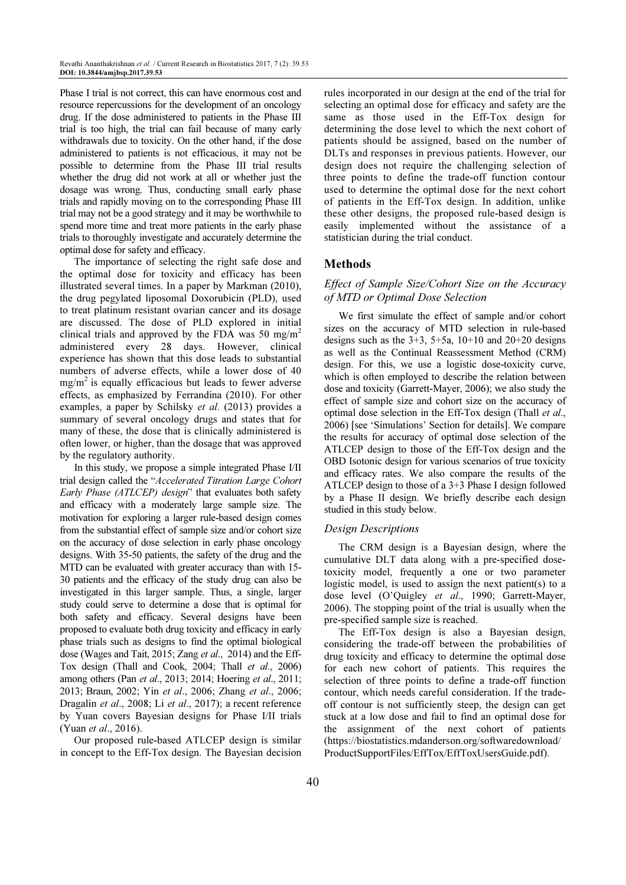Phase I trial is not correct, this can have enormous cost and resource repercussions for the development of an oncology drug. If the dose administered to patients in the Phase III trial is too high, the trial can fail because of many early withdrawals due to toxicity. On the other hand, if the dose administered to patients is not efficacious, it may not be possible to determine from the Phase III trial results whether the drug did not work at all or whether just the dosage was wrong. Thus, conducting small early phase trials and rapidly moving on to the corresponding Phase III trial may not be a good strategy and it may be worthwhile to spend more time and treat more patients in the early phase trials to thoroughly investigate and accurately determine the optimal dose for safety and efficacy.

The importance of selecting the right safe dose and the optimal dose for toxicity and efficacy has been illustrated several times. In a paper by Markman (2010), the drug pegylated liposomal Doxorubicin (PLD), used to treat platinum resistant ovarian cancer and its dosage are discussed. The dose of PLD explored in initial clinical trials and approved by the FDA was 50 mg/m<sup>2</sup> administered every 28 days. However, clinical experience has shown that this dose leads to substantial numbers of adverse effects, while a lower dose of 40  $mg/m<sup>2</sup>$  is equally efficacious but leads to fewer adverse effects, as emphasized by Ferrandina (2010). For other examples, a paper by Schilsky et al. (2013) provides a summary of several oncology drugs and states that for many of these, the dose that is clinically administered is often lower, or higher, than the dosage that was approved by the regulatory authority.

In this study, we propose a simple integrated Phase I/II trial design called the "Accelerated Titration Large Cohort Early Phase (ATLCEP) design" that evaluates both safety and efficacy with a moderately large sample size. The motivation for exploring a larger rule-based design comes from the substantial effect of sample size and/or cohort size on the accuracy of dose selection in early phase oncology designs. With 35-50 patients, the safety of the drug and the MTD can be evaluated with greater accuracy than with 15- 30 patients and the efficacy of the study drug can also be investigated in this larger sample. Thus, a single, larger study could serve to determine a dose that is optimal for both safety and efficacy. Several designs have been proposed to evaluate both drug toxicity and efficacy in early phase trials such as designs to find the optimal biological dose (Wages and Tait, 2015; Zang et al., 2014) and the Eff-Tox design (Thall and Cook, 2004; Thall et al., 2006) among others (Pan et al., 2013; 2014; Hoering et al., 2011; 2013; Braun, 2002; Yin et al., 2006; Zhang et al., 2006; Dragalin et al., 2008; Li et al., 2017); a recent reference by Yuan covers Bayesian designs for Phase I/II trials (Yuan et al., 2016).

Our proposed rule-based ATLCEP design is similar in concept to the Eff-Tox design. The Bayesian decision rules incorporated in our design at the end of the trial for selecting an optimal dose for efficacy and safety are the same as those used in the Eff-Tox design for determining the dose level to which the next cohort of patients should be assigned, based on the number of DLTs and responses in previous patients. However, our design does not require the challenging selection of three points to define the trade-off function contour used to determine the optimal dose for the next cohort of patients in the Eff-Tox design. In addition, unlike these other designs, the proposed rule-based design is easily implemented without the assistance of a statistician during the trial conduct.

# Methods

# Effect of Sample Size/Cohort Size on the Accuracy of MTD or Optimal Dose Selection

We first simulate the effect of sample and/or cohort sizes on the accuracy of MTD selection in rule-based designs such as the  $3+3$ ,  $5+5a$ ,  $10+10$  and  $20+20$  designs as well as the Continual Reassessment Method (CRM) design. For this, we use a logistic dose-toxicity curve, which is often employed to describe the relation between dose and toxicity (Garrett-Mayer, 2006); we also study the effect of sample size and cohort size on the accuracy of optimal dose selection in the Eff-Tox design (Thall *et al.*, 2006) [see 'Simulations' Section for details]. We compare the results for accuracy of optimal dose selection of the ATLCEP design to those of the Eff-Tox design and the OBD Isotonic design for various scenarios of true toxicity and efficacy rates. We also compare the results of the ATLCEP design to those of a 3+3 Phase I design followed by a Phase II design. We briefly describe each design studied in this study below.

## Design Descriptions

The CRM design is a Bayesian design, where the cumulative DLT data along with a pre-specified dosetoxicity model, frequently a one or two parameter logistic model, is used to assign the next patient(s) to a dose level (O'Quigley et al., 1990; Garrett-Mayer, 2006). The stopping point of the trial is usually when the pre-specified sample size is reached.

The Eff-Tox design is also a Bayesian design, considering the trade-off between the probabilities of drug toxicity and efficacy to determine the optimal dose for each new cohort of patients. This requires the selection of three points to define a trade-off function contour, which needs careful consideration. If the tradeoff contour is not sufficiently steep, the design can get stuck at a low dose and fail to find an optimal dose for the assignment of the next cohort of patients (https://biostatistics.mdanderson.org/softwaredownload/ ProductSupportFiles/EffTox/EffToxUsersGuide.pdf).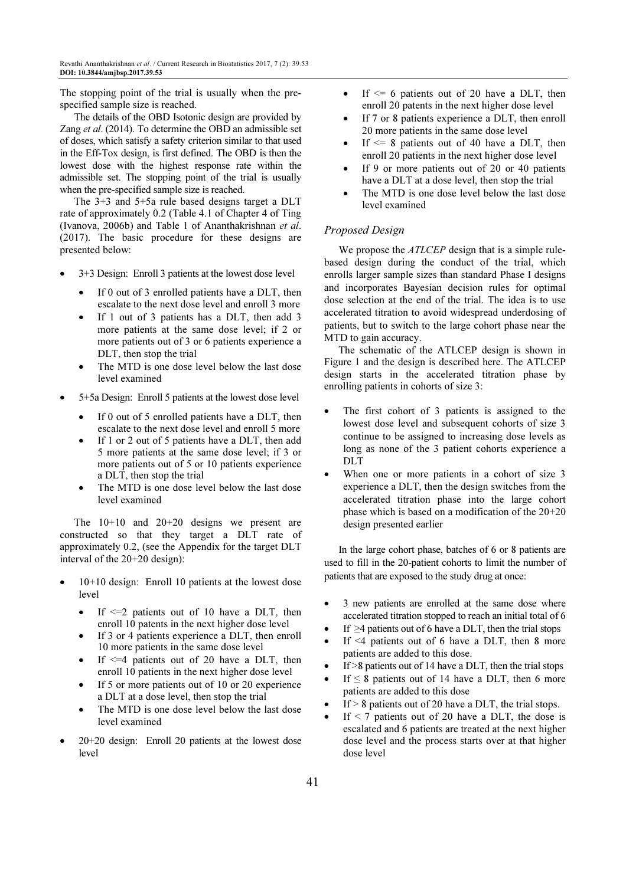The stopping point of the trial is usually when the prespecified sample size is reached.

The details of the OBD Isotonic design are provided by Zang et al. (2014). To determine the OBD an admissible set of doses, which satisfy a safety criterion similar to that used in the Eff-Tox design, is first defined. The OBD is then the lowest dose with the highest response rate within the admissible set. The stopping point of the trial is usually when the pre-specified sample size is reached.

The 3+3 and 5+5a rule based designs target a DLT rate of approximately 0.2 (Table 4.1 of Chapter 4 of Ting (Ivanova, 2006b) and Table 1 of Ananthakrishnan et al. (2017). The basic procedure for these designs are presented below:

- 3+3 Design: Enroll 3 patients at the lowest dose level
	- If 0 out of 3 enrolled patients have a DLT, then escalate to the next dose level and enroll 3 more
	- If 1 out of 3 patients has a DLT, then add 3 more patients at the same dose level; if 2 or more patients out of 3 or 6 patients experience a DLT, then stop the trial
	- The MTD is one dose level below the last dose level examined
- 5+5a Design: Enroll 5 patients at the lowest dose level
	- If 0 out of 5 enrolled patients have a DLT, then escalate to the next dose level and enroll 5 more
	- If 1 or 2 out of 5 patients have a DLT, then add 5 more patients at the same dose level; if 3 or more patients out of 5 or 10 patients experience a DLT, then stop the trial
	- The MTD is one dose level below the last dose level examined

The 10+10 and 20+20 designs we present are constructed so that they target a DLT rate of approximately 0.2, (see the Appendix for the target DLT interval of the 20+20 design):

- $10+10$  design: Enroll 10 patients at the lowest dose level
	- If  $\leq$  patients out of 10 have a DLT, then enroll 10 patents in the next higher dose level
	- If 3 or 4 patients experience a DLT, then enroll 10 more patients in the same dose level
	- If  $\leq$  patients out of 20 have a DLT, then enroll 10 patients in the next higher dose level
	- If 5 or more patients out of 10 or 20 experience a DLT at a dose level, then stop the trial
	- The MTD is one dose level below the last dose level examined
- 20+20 design: Enroll 20 patients at the lowest dose level
- If  $\leq 6$  patients out of 20 have a DLT, then enroll 20 patents in the next higher dose level
- If 7 or 8 patients experience a DLT, then enroll 20 more patients in the same dose level
- If  $\leq$  8 patients out of 40 have a DLT, then enroll 20 patients in the next higher dose level
- If 9 or more patients out of 20 or 40 patients have a DLT at a dose level, then stop the trial
- The MTD is one dose level below the last dose level examined

## Proposed Design

We propose the *ATLCEP* design that is a simple rulebased design during the conduct of the trial, which enrolls larger sample sizes than standard Phase I designs and incorporates Bayesian decision rules for optimal dose selection at the end of the trial. The idea is to use accelerated titration to avoid widespread underdosing of patients, but to switch to the large cohort phase near the MTD to gain accuracy.

The schematic of the ATLCEP design is shown in Figure 1 and the design is described here. The ATLCEP design starts in the accelerated titration phase by enrolling patients in cohorts of size 3:

- The first cohort of 3 patients is assigned to the lowest dose level and subsequent cohorts of size 3 continue to be assigned to increasing dose levels as long as none of the 3 patient cohorts experience a DLT
- When one or more patients in a cohort of size 3 experience a DLT, then the design switches from the accelerated titration phase into the large cohort phase which is based on a modification of the 20+20 design presented earlier

In the large cohort phase, batches of 6 or 8 patients are used to fill in the 20-patient cohorts to limit the number of patients that are exposed to the study drug at once:

- 3 new patients are enrolled at the same dose where accelerated titration stopped to reach an initial total of 6
- If  $\geq$ 4 patients out of 6 have a DLT, then the trial stops
- If  $\leq 4$  patients out of 6 have a DLT, then 8 more patients are added to this dose.
- If  $>8$  patients out of 14 have a DLT, then the trial stops
- If  $\leq$  8 patients out of 14 have a DLT, then 6 more patients are added to this dose
- If  $> 8$  patients out of 20 have a DLT, the trial stops.
- If  $\leq$  7 patients out of 20 have a DLT, the dose is escalated and 6 patients are treated at the next higher dose level and the process starts over at that higher dose level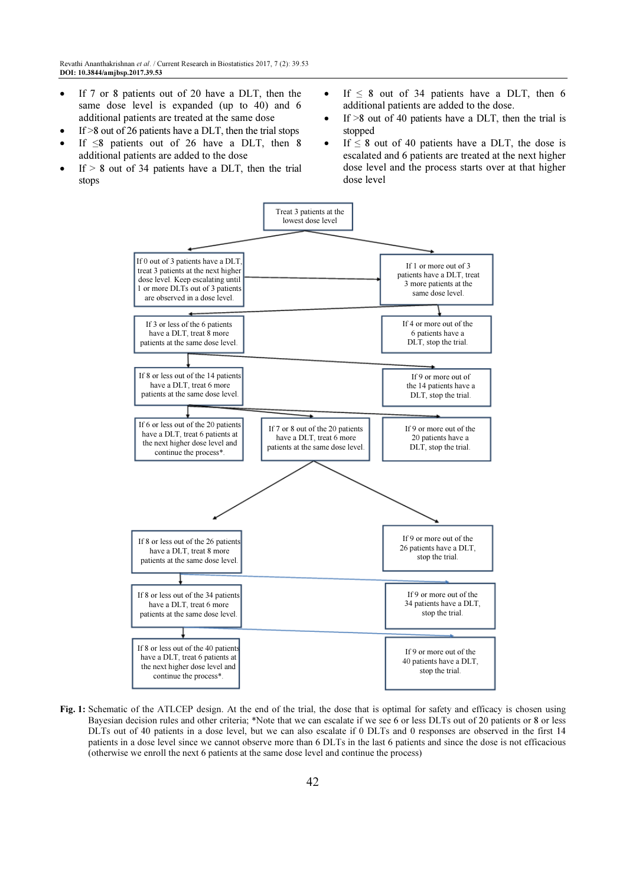- If 7 or 8 patients out of 20 have a DLT, then the same dose level is expanded (up to 40) and 6 additional patients are treated at the same dose
- If  $>8$  out of 26 patients have a DLT, then the trial stops
- If  $\leq$ 8 patients out of 26 have a DLT, then 8 additional patients are added to the dose
- If  $> 8$  out of 34 patients have a DLT, then the trial stops
- If  $\leq 8$  out of 34 patients have a DLT, then 6 additional patients are added to the dose.
- If >8 out of 40 patients have a DLT, then the trial is stopped
- If  $\leq 8$  out of 40 patients have a DLT, the dose is escalated and 6 patients are treated at the next higher dose level and the process starts over at that higher dose level



Fig. 1: Schematic of the ATLCEP design. At the end of the trial, the dose that is optimal for safety and efficacy is chosen using Bayesian decision rules and other criteria; \*Note that we can escalate if we see 6 or less DLTs out of 20 patients or 8 or less DLTs out of 40 patients in a dose level, but we can also escalate if 0 DLTs and 0 responses are observed in the first 14 patients in a dose level since we cannot observe more than 6 DLTs in the last 6 patients and since the dose is not efficacious (otherwise we enroll the next 6 patients at the same dose level and continue the process)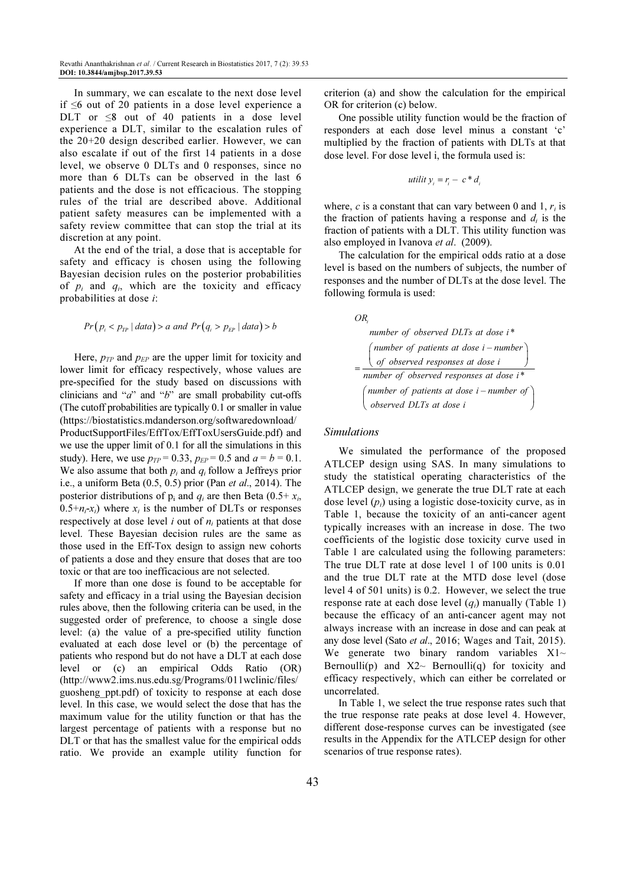In summary, we can escalate to the next dose level if ≤6 out of 20 patients in a dose level experience a DLT or  $\leq$ 8 out of 40 patients in a dose level experience a DLT, similar to the escalation rules of the 20+20 design described earlier. However, we can also escalate if out of the first 14 patients in a dose level, we observe 0 DLTs and 0 responses, since no more than 6 DLTs can be observed in the last 6 patients and the dose is not efficacious. The stopping rules of the trial are described above. Additional patient safety measures can be implemented with a safety review committee that can stop the trial at its discretion at any point.

At the end of the trial, a dose that is acceptable for safety and efficacy is chosen using the following Bayesian decision rules on the posterior probabilities of  $p_i$  and  $q_i$ , which are the toxicity and efficacy probabilities at dose i:

$$
Pr(p_i < p_{TP} | data) > a
$$
 and  $Pr(q_i > p_{EP} | data) > b$ 

Here,  $p_{TP}$  and  $p_{EP}$  are the upper limit for toxicity and lower limit for efficacy respectively, whose values are pre-specified for the study based on discussions with clinicians and " $a$ " and " $b$ " are small probability cut-offs (The cutoff probabilities are typically 0.1 or smaller in value (https://biostatistics.mdanderson.org/softwaredownload/ ProductSupportFiles/EffTox/EffToxUsersGuide.pdf) and we use the upper limit of 0.1 for all the simulations in this study). Here, we use  $p_{TP} = 0.33$ ,  $p_{EP} = 0.5$  and  $a = b = 0.1$ . We also assume that both  $p_i$  and  $q_i$  follow a Jeffreys prior i.e., a uniform Beta (0.5, 0.5) prior (Pan et al., 2014). The posterior distributions of  $p_i$  and  $q_i$  are then Beta (0.5+  $x_i$ ,  $0.5+n_i-x_i$ ) where  $x_i$  is the number of DLTs or responses respectively at dose level *i* out of  $n_i$  patients at that dose level. These Bayesian decision rules are the same as those used in the Eff-Tox design to assign new cohorts of patients a dose and they ensure that doses that are too toxic or that are too inefficacious are not selected.

If more than one dose is found to be acceptable for safety and efficacy in a trial using the Bayesian decision rules above, then the following criteria can be used, in the suggested order of preference, to choose a single dose level: (a) the value of a pre-specified utility function evaluated at each dose level or (b) the percentage of patients who respond but do not have a DLT at each dose level or (c) an empirical Odds Ratio (OR) (http://www2.ims.nus.edu.sg/Programs/011wclinic/files/ guosheng\_ppt.pdf) of toxicity to response at each dose level. In this case, we would select the dose that has the maximum value for the utility function or that has the largest percentage of patients with a response but no DLT or that has the smallest value for the empirical odds ratio. We provide an example utility function for

criterion (a) and show the calculation for the empirical OR for criterion (c) below.

One possible utility function would be the fraction of responders at each dose level minus a constant 'c' multiplied by the fraction of patients with DLTs at that dose level. For dose level i, the formula used is:

$$
utility_j = r_i - c * d_i
$$

where,  $c$  is a constant that can vary between 0 and 1,  $r_i$  is the fraction of patients having a response and  $d_i$  is the fraction of patients with a DLT. This utility function was also employed in Ivanova et al. (2009).

The calculation for the empirical odds ratio at a dose level is based on the numbers of subjects, the number of responses and the number of DLTs at the dose level. The following formula is used:

OR<sup>i</sup>

number of observed DLTs at dose 
$$
i^*
$$

\n
$$
= \frac{\left(\text{number of patients at dose } i - \text{number}\right)}{\text{number of observed responses at dose } i * \text{number of observed responses at dose } i * \text{number of patients at dose } i - \text{number of} \text{observed DLTs at dose } i - \text{number of}}\right)
$$

#### Simulations

We simulated the performance of the proposed ATLCEP design using SAS. In many simulations to study the statistical operating characteristics of the ATLCEP design, we generate the true DLT rate at each dose level  $(p_i)$  using a logistic dose-toxicity curve, as in Table 1, because the toxicity of an anti-cancer agent typically increases with an increase in dose. The two coefficients of the logistic dose toxicity curve used in Table 1 are calculated using the following parameters: The true DLT rate at dose level 1 of 100 units is 0.01 and the true DLT rate at the MTD dose level (dose level 4 of 501 units) is 0.2. However, we select the true response rate at each dose level  $(q_i)$  manually (Table 1) because the efficacy of an anti-cancer agent may not always increase with an increase in dose and can peak at any dose level (Sato et al., 2016; Wages and Tait, 2015). We generate two binary random variables  $X1 \sim$ Bernoulli(p) and  $X2 \sim$  Bernoulli(q) for toxicity and efficacy respectively, which can either be correlated or uncorrelated.

In Table 1, we select the true response rates such that the true response rate peaks at dose level 4. However, different dose-response curves can be investigated (see results in the Appendix for the ATLCEP design for other scenarios of true response rates).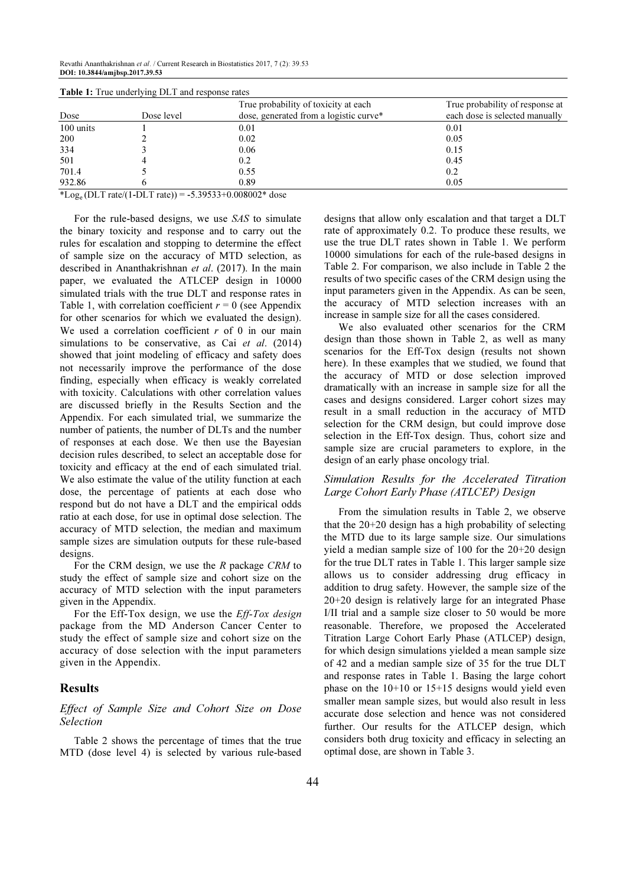Revathi Ananthakrishnan et al. / Current Research in Biostatistics 2017, 7 (2): 39.53 DOI: 10.3844/amjbsp.2017.39.53

| Dose      | Dose level | True probability of toxicity at each<br>dose, generated from a logistic curve* | True probability of response at<br>each dose is selected manually |
|-----------|------------|--------------------------------------------------------------------------------|-------------------------------------------------------------------|
| 100 units |            | 0.01                                                                           | 0.01                                                              |
| 200       |            | 0.02                                                                           | 0.05                                                              |
| 334       |            | 0.06                                                                           | 0.15                                                              |
| 501       |            | 0.2                                                                            | 0.45                                                              |
| 701.4     |            | 0.55                                                                           | 0.2                                                               |
| 932.86    |            | 0.89                                                                           | 0.05                                                              |

Table 1: True underlying DLT and response rates

\*Log. (DLT rate/(1-DLT rate)) =  $-5.39533+0.008002*$  dose

For the rule-based designs, we use SAS to simulate the binary toxicity and response and to carry out the rules for escalation and stopping to determine the effect of sample size on the accuracy of MTD selection, as described in Ananthakrishnan et al. (2017). In the main paper, we evaluated the ATLCEP design in 10000 simulated trials with the true DLT and response rates in Table 1, with correlation coefficient  $r = 0$  (see Appendix for other scenarios for which we evaluated the design). We used a correlation coefficient  $r$  of 0 in our main simulations to be conservative, as Cai et al. (2014) showed that joint modeling of efficacy and safety does not necessarily improve the performance of the dose finding, especially when efficacy is weakly correlated with toxicity. Calculations with other correlation values are discussed briefly in the Results Section and the Appendix. For each simulated trial, we summarize the number of patients, the number of DLTs and the number of responses at each dose. We then use the Bayesian decision rules described, to select an acceptable dose for toxicity and efficacy at the end of each simulated trial. We also estimate the value of the utility function at each dose, the percentage of patients at each dose who respond but do not have a DLT and the empirical odds ratio at each dose, for use in optimal dose selection. The accuracy of MTD selection, the median and maximum sample sizes are simulation outputs for these rule-based designs.

For the CRM design, we use the R package CRM to study the effect of sample size and cohort size on the accuracy of MTD selection with the input parameters given in the Appendix.

For the Eff-Tox design, we use the Eff-Tox design package from the MD Anderson Cancer Center to study the effect of sample size and cohort size on the accuracy of dose selection with the input parameters given in the Appendix.

# Results

# Effect of Sample Size and Cohort Size on Dose Selection

Table 2 shows the percentage of times that the true MTD (dose level 4) is selected by various rule-based designs that allow only escalation and that target a DLT rate of approximately 0.2. To produce these results, we use the true DLT rates shown in Table 1. We perform 10000 simulations for each of the rule-based designs in Table 2. For comparison, we also include in Table 2 the results of two specific cases of the CRM design using the input parameters given in the Appendix. As can be seen, the accuracy of MTD selection increases with an increase in sample size for all the cases considered.

We also evaluated other scenarios for the CRM design than those shown in Table 2, as well as many scenarios for the Eff-Tox design (results not shown here). In these examples that we studied, we found that the accuracy of MTD or dose selection improved dramatically with an increase in sample size for all the cases and designs considered. Larger cohort sizes may result in a small reduction in the accuracy of MTD selection for the CRM design, but could improve dose selection in the Eff-Tox design. Thus, cohort size and sample size are crucial parameters to explore, in the design of an early phase oncology trial.

# Simulation Results for the Accelerated Titration Large Cohort Early Phase (ATLCEP) Design

From the simulation results in Table 2, we observe that the 20+20 design has a high probability of selecting the MTD due to its large sample size. Our simulations yield a median sample size of 100 for the 20+20 design for the true DLT rates in Table 1. This larger sample size allows us to consider addressing drug efficacy in addition to drug safety. However, the sample size of the 20+20 design is relatively large for an integrated Phase I/II trial and a sample size closer to 50 would be more reasonable. Therefore, we proposed the Accelerated Titration Large Cohort Early Phase (ATLCEP) design, for which design simulations yielded a mean sample size of 42 and a median sample size of 35 for the true DLT and response rates in Table 1. Basing the large cohort phase on the 10+10 or 15+15 designs would yield even smaller mean sample sizes, but would also result in less accurate dose selection and hence was not considered further. Our results for the ATLCEP design, which considers both drug toxicity and efficacy in selecting an optimal dose, are shown in Table 3.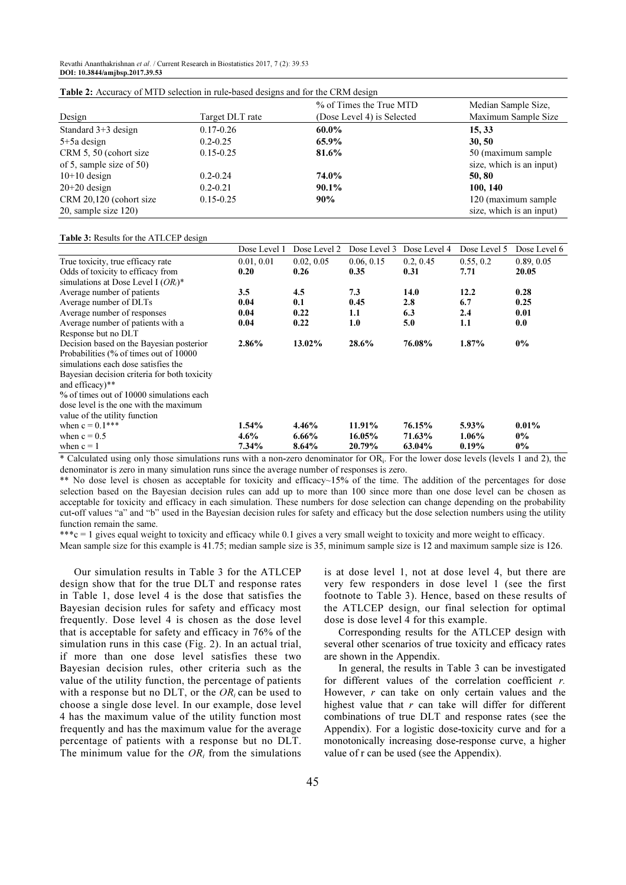Revathi Ananthakrishnan et al. / Current Research in Biostatistics 2017, 7 (2): 39.53 DOI: 10.3844/amjbsp.2017.39.53

| Design                   | Target DLT rate | % of Times the True MTD<br>(Dose Level 4) is Selected | Median Sample Size,<br>Maximum Sample Size |
|--------------------------|-----------------|-------------------------------------------------------|--------------------------------------------|
| Standard $3+3$ design    | $0.17 - 0.26$   | 60.0%                                                 | 15, 33                                     |
| $5+5a$ design            | $0.2 - 0.25$    | 65.9%                                                 | 30, 50                                     |
| CRM 5, 50 (cohort size)  | $0.15 - 0.25$   | 81.6%                                                 | 50 (maximum sample)                        |
| of 5, sample size of 50) |                 |                                                       | size, which is an input)                   |
| $10+10$ design           | $0.2 - 0.24$    | <b>74.0%</b>                                          | 50, 80                                     |
| $20+20$ design           | $0.2 - 0.21$    | 90.1%                                                 | 100, 140                                   |
| CRM 20,120 (cohort size) | $0.15 - 0.25$   | 90%                                                   | 120 (maximum sample)                       |
| $20$ , sample size $120$ |                 |                                                       | size, which is an input)                   |

#### Table 2: Accuracy of MTD selection in rule-based designs and for the CRM design

#### Table 3: Results for the ATLCEP design

|                                              | Dose Level 1 | Dose Level 2 | Dose Level 3 | Dose Level 4 | Dose Level 5 | Dose Level 6 |
|----------------------------------------------|--------------|--------------|--------------|--------------|--------------|--------------|
| True toxicity, true efficacy rate            | 0.01, 0.01   | 0.02, 0.05   | 0.06, 0.15   | 0.2, 0.45    | 0.55, 0.2    | 0.89, 0.05   |
| Odds of toxicity to efficacy from            | 0.20         | 0.26         | 0.35         | 0.31         | 7.71         | 20.05        |
| simulations at Dose Level I $(OR_i)^*$       |              |              |              |              |              |              |
| Average number of patients                   | 3.5          | 4.5          | 7.3          | 14.0         | 12.2         | 0.28         |
| Average number of DLTs                       | 0.04         | 0.1          | 0.45         | 2.8          | 6.7          | 0.25         |
| Average number of responses                  | 0.04         | 0.22         | 1.1          | 6.3          | 2.4          | 0.01         |
| Average number of patients with a            | 0.04         | 0.22         | 1.0          | 5.0          | 1.1          | 0.0          |
| Response but no DLT                          |              |              |              |              |              |              |
| Decision based on the Bayesian posterior     | 2.86%        | 13.02%       | 28.6%        | 76.08%       | 1.87%        | $0\%$        |
| Probabilities (% of times out of 10000)      |              |              |              |              |              |              |
| simulations each dose satisfies the          |              |              |              |              |              |              |
| Bayesian decision criteria for both toxicity |              |              |              |              |              |              |
| and efficacy)**                              |              |              |              |              |              |              |
| % of times out of 10000 simulations each     |              |              |              |              |              |              |
| dose level is the one with the maximum       |              |              |              |              |              |              |
| value of the utility function                |              |              |              |              |              |              |
| when $c = 0.1***$                            | 1.54%        | 4.46%        | 11.91%       | 76.15%       | 5.93%        | $0.01\%$     |
| when $c = 0.5$                               | 4.6%         | $6.66\%$     | 16.05%       | 71.63%       | $1.06\%$     | $0\%$        |
| when $c = 1$                                 | 7.34%        | 8.64%        | 20.79%       | 63.04%       | $0.19\%$     | $0\%$        |

\* Calculated using only those simulations runs with a non-zero denominator for OR<sup>i</sup> . For the lower dose levels (levels 1 and 2), the denominator is zero in many simulation runs since the average number of responses is zero.

\*\* No dose level is chosen as acceptable for toxicity and efficacy~15% of the time. The addition of the percentages for dose selection based on the Bayesian decision rules can add up to more than 100 since more than one dose level can be chosen as acceptable for toxicity and efficacy in each simulation. These numbers for dose selection can change depending on the probability cut-off values "a" and "b" used in the Bayesian decision rules for safety and efficacy but the dose selection numbers using the utility function remain the same.

\*\*\*c = 1 gives equal weight to toxicity and efficacy while 0.1 gives a very small weight to toxicity and more weight to efficacy.

Mean sample size for this example is 41.75; median sample size is 35, minimum sample size is 12 and maximum sample size is 126.

Our simulation results in Table 3 for the ATLCEP design show that for the true DLT and response rates in Table 1, dose level 4 is the dose that satisfies the Bayesian decision rules for safety and efficacy most frequently. Dose level 4 is chosen as the dose level that is acceptable for safety and efficacy in 76% of the simulation runs in this case (Fig. 2). In an actual trial, if more than one dose level satisfies these two Bayesian decision rules, other criteria such as the value of the utility function, the percentage of patients with a response but no DLT, or the  $OR_i$  can be used to choose a single dose level. In our example, dose level 4 has the maximum value of the utility function most frequently and has the maximum value for the average percentage of patients with a response but no DLT. The minimum value for the  $OR_i$  from the simulations

is at dose level 1, not at dose level 4, but there are very few responders in dose level 1 (see the first footnote to Table 3). Hence, based on these results of the ATLCEP design, our final selection for optimal dose is dose level 4 for this example.

Corresponding results for the ATLCEP design with several other scenarios of true toxicity and efficacy rates are shown in the Appendix.

In general, the results in Table 3 can be investigated for different values of the correlation coefficient  $r$ . However,  $r$  can take on only certain values and the highest value that  $r$  can take will differ for different combinations of true DLT and response rates (see the Appendix). For a logistic dose-toxicity curve and for a monotonically increasing dose-response curve, a higher value of r can be used (see the Appendix).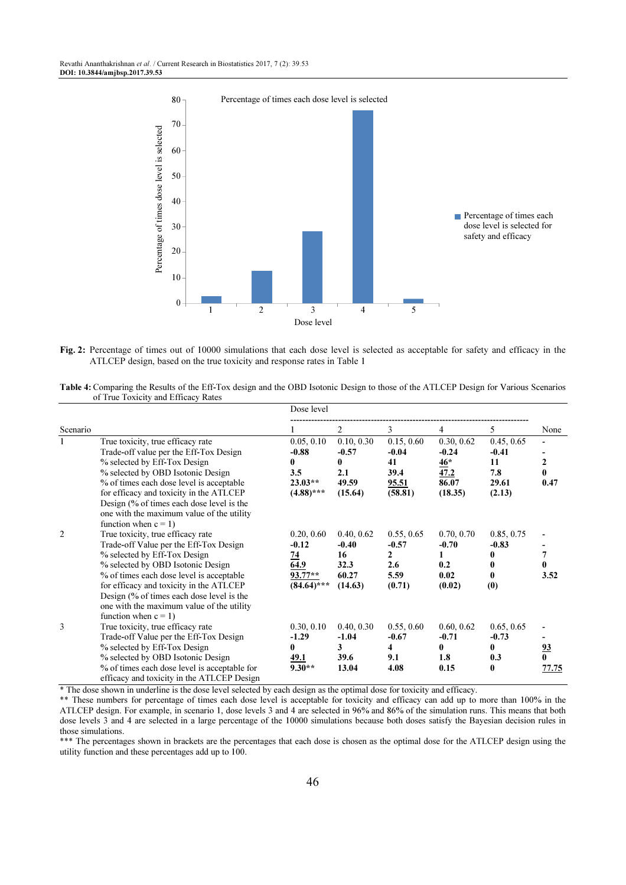

Fig. 2: Percentage of times out of 10000 simulations that each dose level is selected as acceptable for safety and efficacy in the ATLCEP design, based on the true toxicity and response rates in Table 1

Table 4: Comparing the Results of the Eff-Tox design and the OBD Isotonic Design to those of the ATLCEP Design for Various Scenarios of True Toxicity and Efficacy Rates

|                |                                              | Dose level   |                |            |            |            |                |
|----------------|----------------------------------------------|--------------|----------------|------------|------------|------------|----------------|
| Scenario       |                                              |              | $\overline{2}$ | 3          | 4          | 5.         | None           |
| 1              | True toxicity, true efficacy rate            | 0.05, 0.10   | 0.10, 0.30     | 0.15, 0.60 | 0.30, 0.62 | 0.45, 0.65 |                |
|                | Trade-off value per the Eff-Tox Design       | $-0.88$      | $-0.57$        | $-0.04$    | $-0.24$    | $-0.41$    |                |
|                | % selected by Eff-Tox Design                 | 0            | 0              | 41         | $46*$      | 11         | 2              |
|                | % selected by OBD Isotonic Design            | 3.5          | 2.1            | 39.4       | 47.2       | 7.8        | $\bf{0}$       |
|                | % of times each dose level is acceptable     | $23.03**$    | 49.59          | 95.51      | 86.07      | 29.61      | 0.47           |
|                | for efficacy and toxicity in the ATLCEP      | $(4.88)$ *** | (15.64)        | (58.81)    | (18.35)    | (2.13)     |                |
|                | Design (% of times each dose level is the    |              |                |            |            |            |                |
|                | one with the maximum value of the utility    |              |                |            |            |            |                |
|                | function when $c = 1$ )                      |              |                |            |            |            |                |
| $\overline{2}$ | True toxicity, true efficacy rate            | 0.20, 0.60   | 0.40, 0.62     | 0.55, 0.65 | 0.70, 0.70 | 0.85, 0.75 |                |
|                | Trade-off Value per the Eff-Tox Design       | $-0.12$      | $-0.40$        | $-0.57$    | $-0.70$    | $-0.83$    |                |
|                | % selected by Eff-Tox Design                 | <u>74</u>    | 16             | 2          | 1          | 0          |                |
|                | % selected by OBD Isotonic Design            | 64.9         | 32.3           | 2.6        | 0.2        | 0          | 0              |
|                | % of times each dose level is acceptable     | 93.77**      | 60.27          | 5.59       | 0.02       | 0          | 3.52           |
|                | for efficacy and toxicity in the ATLCEP      | $(84.64)***$ | (14.63)        | (0.71)     | (0.02)     | (0)        |                |
|                | Design (% of times each dose level is the    |              |                |            |            |            |                |
|                | one with the maximum value of the utility    |              |                |            |            |            |                |
|                | function when $c = 1$ )                      |              |                |            |            |            |                |
| 3              | True toxicity, true efficacy rate            | 0.30, 0.10   | 0.40, 0.30     | 0.55, 0.60 | 0.60, 0.62 | 0.65, 0.65 |                |
|                | Trade-off Value per the Eff-Tox Design       | $-1.29$      | $-1.04$        | $-0.67$    | $-0.71$    | $-0.73$    |                |
|                | % selected by Eff-Tox Design                 | 0            | 3              | 4          | 0          | 0          |                |
|                | % selected by OBD Isotonic Design            | 49.1         | 39.6           | 9.1        | 1.8        | 0.3        | $\frac{93}{0}$ |
|                | % of times each dose level is acceptable for | $9.30**$     | 13.04          | 4.08       | 0.15       | $\bf{0}$   | 77.75          |
|                | efficacy and toxicity in the ATLCEP Design   |              |                |            |            |            |                |

\* The dose shown in underline is the dose level selected by each design as the optimal dose for toxicity and efficacy.

\*\* These numbers for percentage of times each dose level is acceptable for toxicity and efficacy can add up to more than 100% in the ATLCEP design. For example, in scenario 1, dose levels 3 and 4 are selected in 96% and 86% of the simulation runs. This means that both dose levels 3 and 4 are selected in a large percentage of the 10000 simulations because both doses satisfy the Bayesian decision rules in those simulations.

\*\*\* The percentages shown in brackets are the percentages that each dose is chosen as the optimal dose for the ATLCEP design using the utility function and these percentages add up to 100.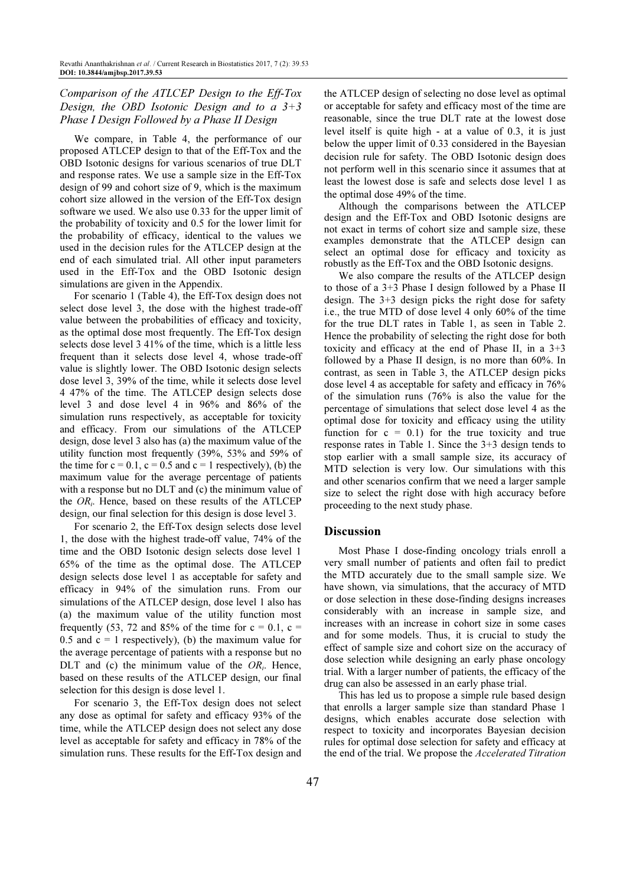# Comparison of the ATLCEP Design to the Eff-Tox Design, the OBD Isotonic Design and to a  $3+3$ Phase I Design Followed by a Phase II Design

We compare, in Table 4, the performance of our proposed ATLCEP design to that of the Eff-Tox and the OBD Isotonic designs for various scenarios of true DLT and response rates. We use a sample size in the Eff-Tox design of 99 and cohort size of 9, which is the maximum cohort size allowed in the version of the Eff-Tox design software we used. We also use 0.33 for the upper limit of the probability of toxicity and 0.5 for the lower limit for the probability of efficacy, identical to the values we used in the decision rules for the ATLCEP design at the end of each simulated trial. All other input parameters used in the Eff-Tox and the OBD Isotonic design simulations are given in the Appendix.

For scenario 1 (Table 4), the Eff-Tox design does not select dose level 3, the dose with the highest trade-off value between the probabilities of efficacy and toxicity, as the optimal dose most frequently. The Eff-Tox design selects dose level 3 41% of the time, which is a little less frequent than it selects dose level 4, whose trade-off value is slightly lower. The OBD Isotonic design selects dose level 3, 39% of the time, while it selects dose level 4 47% of the time. The ATLCEP design selects dose level 3 and dose level 4 in 96% and 86% of the simulation runs respectively, as acceptable for toxicity and efficacy. From our simulations of the ATLCEP design, dose level 3 also has (a) the maximum value of the utility function most frequently (39%, 53% and 59% of the time for  $c = 0.1$ ,  $c = 0.5$  and  $c = 1$  respectively), (b) the maximum value for the average percentage of patients with a response but no DLT and (c) the minimum value of the  $OR_i$ . Hence, based on these results of the ATLCEP design, our final selection for this design is dose level 3.

For scenario 2, the Eff-Tox design selects dose level 1, the dose with the highest trade-off value, 74% of the time and the OBD Isotonic design selects dose level 1 65% of the time as the optimal dose. The ATLCEP design selects dose level 1 as acceptable for safety and efficacy in 94% of the simulation runs. From our simulations of the ATLCEP design, dose level 1 also has (a) the maximum value of the utility function most frequently (53, 72 and 85% of the time for  $c = 0.1$ ,  $c =$ 0.5 and  $c = 1$  respectively), (b) the maximum value for the average percentage of patients with a response but no DLT and (c) the minimum value of the  $OR_i$ . Hence, based on these results of the ATLCEP design, our final selection for this design is dose level 1.

For scenario 3, the Eff-Tox design does not select any dose as optimal for safety and efficacy 93% of the time, while the ATLCEP design does not select any dose level as acceptable for safety and efficacy in 78% of the simulation runs. These results for the Eff-Tox design and

the ATLCEP design of selecting no dose level as optimal or acceptable for safety and efficacy most of the time are reasonable, since the true DLT rate at the lowest dose level itself is quite high - at a value of 0.3, it is just below the upper limit of 0.33 considered in the Bayesian decision rule for safety. The OBD Isotonic design does not perform well in this scenario since it assumes that at least the lowest dose is safe and selects dose level 1 as the optimal dose 49% of the time.

Although the comparisons between the ATLCEP design and the Eff-Tox and OBD Isotonic designs are not exact in terms of cohort size and sample size, these examples demonstrate that the ATLCEP design can select an optimal dose for efficacy and toxicity as robustly as the Eff-Tox and the OBD Isotonic designs.

We also compare the results of the ATLCEP design to those of a 3+3 Phase I design followed by a Phase II design. The 3+3 design picks the right dose for safety i.e., the true MTD of dose level 4 only 60% of the time for the true DLT rates in Table 1, as seen in Table 2. Hence the probability of selecting the right dose for both toxicity and efficacy at the end of Phase II, in a 3+3 followed by a Phase II design, is no more than 60%. In contrast, as seen in Table 3, the ATLCEP design picks dose level 4 as acceptable for safety and efficacy in 76% of the simulation runs (76% is also the value for the percentage of simulations that select dose level 4 as the optimal dose for toxicity and efficacy using the utility function for  $c = 0.1$ ) for the true toxicity and true response rates in Table 1. Since the 3+3 design tends to stop earlier with a small sample size, its accuracy of MTD selection is very low. Our simulations with this and other scenarios confirm that we need a larger sample size to select the right dose with high accuracy before proceeding to the next study phase.

## **Discussion**

Most Phase I dose-finding oncology trials enroll a very small number of patients and often fail to predict the MTD accurately due to the small sample size. We have shown, via simulations, that the accuracy of MTD or dose selection in these dose-finding designs increases considerably with an increase in sample size, and increases with an increase in cohort size in some cases and for some models. Thus, it is crucial to study the effect of sample size and cohort size on the accuracy of dose selection while designing an early phase oncology trial. With a larger number of patients, the efficacy of the drug can also be assessed in an early phase trial.

This has led us to propose a simple rule based design that enrolls a larger sample size than standard Phase 1 designs, which enables accurate dose selection with respect to toxicity and incorporates Bayesian decision rules for optimal dose selection for safety and efficacy at the end of the trial. We propose the Accelerated Titration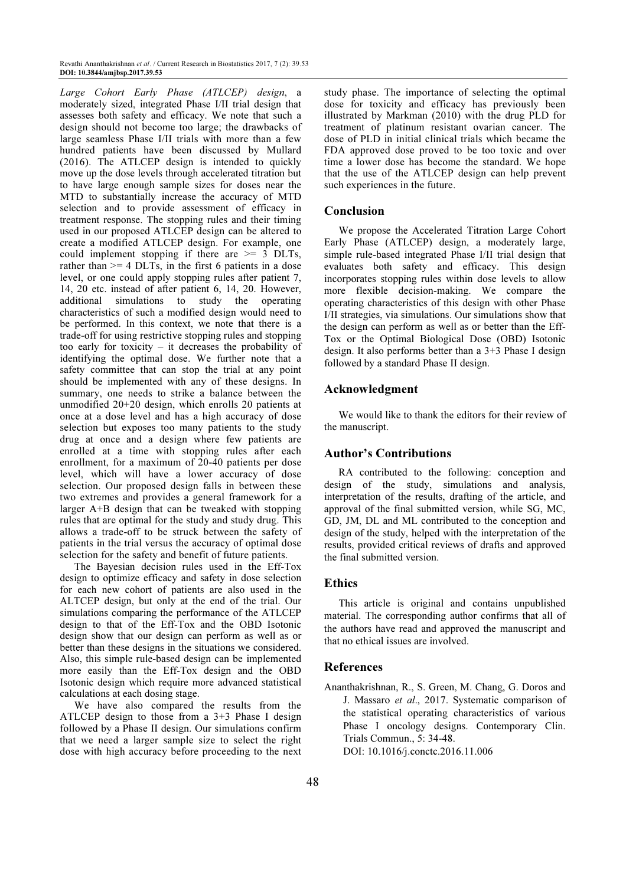Large Cohort Early Phase (ATLCEP) design, a moderately sized, integrated Phase I/II trial design that assesses both safety and efficacy. We note that such a design should not become too large; the drawbacks of large seamless Phase I/II trials with more than a few hundred patients have been discussed by Mullard (2016). The ATLCEP design is intended to quickly move up the dose levels through accelerated titration but to have large enough sample sizes for doses near the MTD to substantially increase the accuracy of MTD selection and to provide assessment of efficacy in treatment response. The stopping rules and their timing used in our proposed ATLCEP design can be altered to create a modified ATLCEP design. For example, one could implement stopping if there are  $\geq$  5 DLTs, rather than  $>= 4$  DLTs, in the first 6 patients in a dose level, or one could apply stopping rules after patient 7, 14, 20 etc. instead of after patient 6, 14, 20. However, additional simulations to study the operating characteristics of such a modified design would need to be performed. In this context, we note that there is a trade-off for using restrictive stopping rules and stopping too early for toxicity – it decreases the probability of identifying the optimal dose. We further note that a safety committee that can stop the trial at any point should be implemented with any of these designs. In summary, one needs to strike a balance between the unmodified 20+20 design, which enrolls 20 patients at once at a dose level and has a high accuracy of dose selection but exposes too many patients to the study drug at once and a design where few patients are enrolled at a time with stopping rules after each enrollment, for a maximum of 20-40 patients per dose level, which will have a lower accuracy of dose selection. Our proposed design falls in between these two extremes and provides a general framework for a larger A+B design that can be tweaked with stopping rules that are optimal for the study and study drug. This allows a trade-off to be struck between the safety of patients in the trial versus the accuracy of optimal dose selection for the safety and benefit of future patients.

The Bayesian decision rules used in the Eff-Tox design to optimize efficacy and safety in dose selection for each new cohort of patients are also used in the ALTCEP design, but only at the end of the trial. Our simulations comparing the performance of the ATLCEP design to that of the Eff-Tox and the OBD Isotonic design show that our design can perform as well as or better than these designs in the situations we considered. Also, this simple rule-based design can be implemented more easily than the Eff-Tox design and the OBD Isotonic design which require more advanced statistical calculations at each dosing stage.

We have also compared the results from the ATLCEP design to those from a 3+3 Phase I design followed by a Phase II design. Our simulations confirm that we need a larger sample size to select the right dose with high accuracy before proceeding to the next

study phase. The importance of selecting the optimal dose for toxicity and efficacy has previously been illustrated by Markman (2010) with the drug PLD for treatment of platinum resistant ovarian cancer. The dose of PLD in initial clinical trials which became the FDA approved dose proved to be too toxic and over time a lower dose has become the standard. We hope that the use of the ATLCEP design can help prevent such experiences in the future.

# Conclusion

We propose the Accelerated Titration Large Cohort Early Phase (ATLCEP) design, a moderately large, simple rule-based integrated Phase I/II trial design that evaluates both safety and efficacy. This design incorporates stopping rules within dose levels to allow more flexible decision-making. We compare the operating characteristics of this design with other Phase I/II strategies, via simulations. Our simulations show that the design can perform as well as or better than the Eff-Tox or the Optimal Biological Dose (OBD) Isotonic design. It also performs better than a 3+3 Phase I design followed by a standard Phase II design.

# Acknowledgment

We would like to thank the editors for their review of the manuscript.

## Author's Contributions

RA contributed to the following: conception and design of the study, simulations and analysis, interpretation of the results, drafting of the article, and approval of the final submitted version, while SG, MC, GD, JM, DL and ML contributed to the conception and design of the study, helped with the interpretation of the results, provided critical reviews of drafts and approved the final submitted version.

## Ethics

This article is original and contains unpublished material. The corresponding author confirms that all of the authors have read and approved the manuscript and that no ethical issues are involved.

## References

Ananthakrishnan, R., S. Green, M. Chang, G. Doros and J. Massaro et al., 2017. Systematic comparison of the statistical operating characteristics of various Phase I oncology designs. Contemporary Clin. Trials Commun., 5: 34-48. DOI: 10.1016/j.conctc.2016.11.006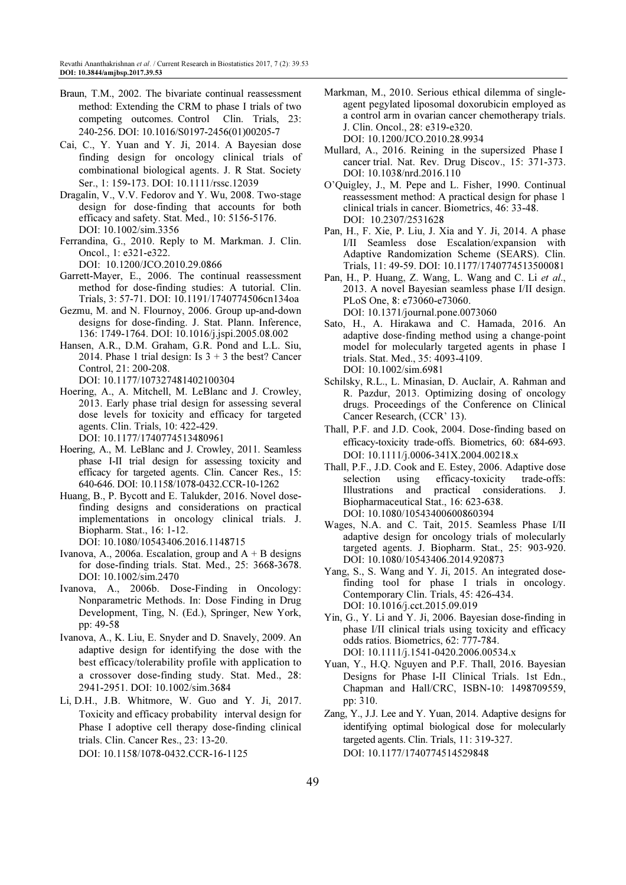- Braun, T.M., 2002. The bivariate continual reassessment method: Extending the CRM to phase I trials of two competing outcomes. Control Clin. Trials, 23: 240-256. DOI: 10.1016/S0197-2456(01)00205-7
- Cai, C., Y. Yuan and Y. Ji, 2014. A Bayesian dose finding design for oncology clinical trials of combinational biological agents. J. R Stat. Society Ser., 1: 159-173. DOI: 10.1111/rssc.12039
- Dragalin, V., V.V. Fedorov and Y. Wu, 2008. Two‐stage design for dose‐finding that accounts for both efficacy and safety. Stat. Med., 10: 5156-5176. DOI: 10.1002/sim.3356
- Ferrandina, G., 2010. Reply to M. Markman. J. Clin. Oncol., 1: e321-e322.
	- DOI: 10.1200/JCO.2010.29.0866
- Garrett-Mayer, E., 2006. The continual reassessment method for dose-finding studies: A tutorial. Clin. Trials, 3: 57-71. DOI: 10.1191/1740774506cn134oa
- Gezmu, M. and N. Flournoy, 2006. Group up-and-down designs for dose-finding. J. Stat. Plann. Inference, 136: 1749-1764. DOI: 10.1016/j.jspi.2005.08.002
- Hansen, A.R., D.M. Graham, G.R. Pond and L.L. Siu, 2014. Phase 1 trial design: Is  $3 + 3$  the best? Cancer Control, 21: 200-208.

DOI: 10.1177/107327481402100304

- Hoering, A., A. Mitchell, M. LeBlanc and J. Crowley, 2013. Early phase trial design for assessing several dose levels for toxicity and efficacy for targeted agents. Clin. Trials, 10: 422-429. DOI: 10.1177/1740774513480961
- Hoering, A., M. LeBlanc and J. Crowley, 2011. Seamless phase I-II trial design for assessing toxicity and efficacy for targeted agents. Clin. Cancer Res., 15: 640-646. DOI: 10.1158/1078-0432.CCR-10-1262
- Huang, B., P. Bycott and E. Talukder, 2016. Novel dosefinding designs and considerations on practical implementations in oncology clinical trials. J. Biopharm. Stat., 16: 1-12. DOI: 10.1080/10543406.2016.1148715
- Ivanova, A., 2006a. Escalation, group and  $A + B$  designs for dose-finding trials. Stat. Med., 25: 3668-3678. DOI: 10.1002/sim.2470
- Ivanova, A., 2006b. Dose-Finding in Oncology: Nonparametric Methods. In: Dose Finding in Drug Development, Ting, N. (Ed.), Springer, New York, pp: 49-58
- Ivanova, A., K. Liu, E. Snyder and D. Snavely, 2009. An adaptive design for identifying the dose with the best efficacy/tolerability profile with application to a crossover dose-finding study. Stat. Med., 28: 2941-2951. DOI: 10.1002/sim.3684
- Li, D.H., J.B. Whitmore, W. Guo and Y. Ji, 2017. Toxicity and efficacy probability interval design for Phase I adoptive cell therapy dose-finding clinical trials. Clin. Cancer Res., 23: 13-20. DOI: 10.1158/1078-0432.CCR-16-1125
- Markman, M., 2010. Serious ethical dilemma of singleagent pegylated liposomal doxorubicin employed as a control arm in ovarian cancer chemotherapy trials. J. Clin. Oncol., 28: e319-e320.
	- DOI: 10.1200/JCO.2010.28.9934
- Mullard, A., 2016. Reining in the supersized Phase I cancer trial. Nat. Rev. Drug Discov., 15: 371-373. DOI: 10.1038/nrd.2016.110
- O'Quigley, J., M. Pepe and L. Fisher, 1990. Continual reassessment method: A practical design for phase 1 clinical trials in cancer. Biometrics, 46: 33-48. DOI: 10.2307/2531628
- Pan, H., F. Xie, P. Liu, J. Xia and Y. Ji, 2014. A phase I/II Seamless dose Escalation/expansion with Adaptive Randomization Scheme (SEARS). Clin. Trials, 11: 49-59. DOI: 10.1177/1740774513500081
- Pan, H., P. Huang, Z. Wang, L. Wang and C. Li et al., 2013. A novel Bayesian seamless phase I/II design. PLoS One, 8: e73060-e73060. DOI: 10.1371/journal.pone.0073060
- Sato, H., A. Hirakawa and C. Hamada, 2016. An adaptive dose‐finding method using a change‐point model for molecularly targeted agents in phase I trials. Stat. Med., 35: 4093-4109. DOI: 10.1002/sim.6981
- Schilsky, R.L., L. Minasian, D. Auclair, A. Rahman and R. Pazdur, 2013. Optimizing dosing of oncology drugs. Proceedings of the Conference on Clinical Cancer Research, (CCR' 13).
- Thall, P.F. and J.D. Cook, 2004. Dose‐finding based on efficacy-toxicity trade‐offs. Biometrics, 60: 684-693. DOI: 10.1111/j.0006-341X.2004.00218.x
- Thall, P.F., J.D. Cook and E. Estey, 2006. Adaptive dose selection using efficacy-toxicity trade-offs: Illustrations and practical considerations. J. Biopharmaceutical Stat., 16: 623-638. DOI: 10.1080/10543400600860394
- Wages, N.A. and C. Tait, 2015. Seamless Phase I/II adaptive design for oncology trials of molecularly targeted agents. J. Biopharm. Stat., 25: 903-920. DOI: 10.1080/10543406.2014.920873
- Yang, S., S. Wang and Y. Ji, 2015. An integrated dosefinding tool for phase I trials in oncology. Contemporary Clin. Trials, 45: 426-434. DOI: 10.1016/j.cct.2015.09.019
- Yin, G., Y. Li and Y. Ji, 2006. Bayesian dose-finding in phase I/II clinical trials using toxicity and efficacy odds ratios. Biometrics, 62: 777-784. DOI: 10.1111/j.1541-0420.2006.00534.x
- Yuan, Y., H.Q. Nguyen and P.F. Thall, 2016. Bayesian Designs for Phase I-II Clinical Trials. 1st Edn., Chapman and Hall/CRC, ISBN-10: 1498709559, pp: 310.
- Zang, Y., J.J. Lee and Y. Yuan, 2014. Adaptive designs for identifying optimal biological dose for molecularly targeted agents. Clin. Trials, 11: 319-327. DOI: 10.1177/1740774514529848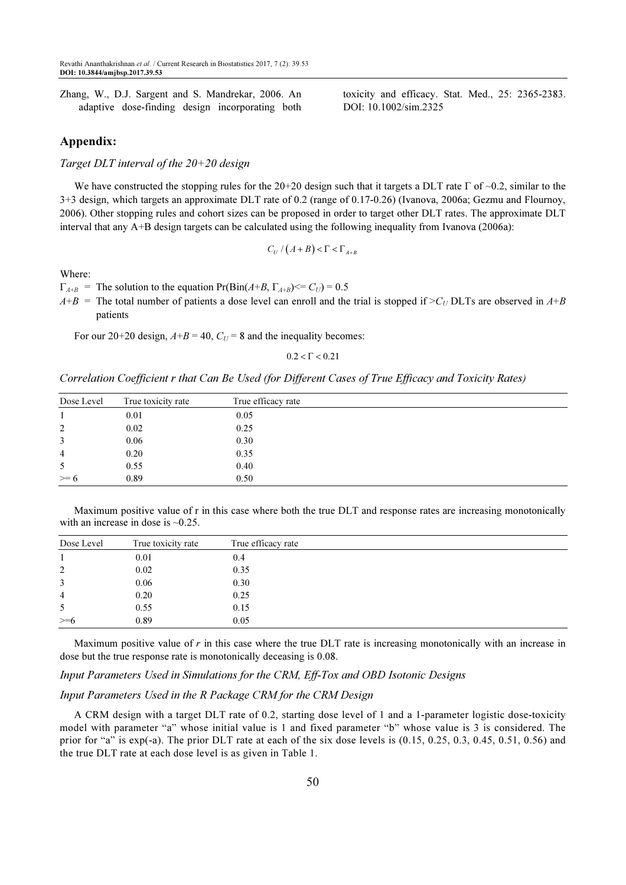Zhang, W., D.J. Sargent and S. Mandrekar, 2006. An adaptive dose-finding design incorporating both toxicity and efficacy. Stat. Med., 25: 2365-2383. DOI: 10.1002/sim.2325

# Appendix:

Target DLT interval of the 20+20 design

We have constructed the stopping rules for the 20+20 design such that it targets a DLT rate  $\Gamma$  of ~0.2, similar to the 3+3 design, which targets an approximate DLT rate of 0.2 (range of 0.17-0.26) (Ivanova, 2006a; Gezmu and Flournoy, 2006). Other stopping rules and cohort sizes can be proposed in order to target other DLT rates. The approximate DLT interval that any A+B design targets can be calculated using the following inequality from Ivanova (2006a):

$$
C_U / (A + B) < \Gamma < \Gamma_{A + B}
$$

Where:

 $\Gamma_{A+B}$  = The solution to the equation Pr(Bin( $A+B$ ,  $\Gamma_{A+B}$ ) $\leq C_U$ ) = 0.5

 $A+B$  = The total number of patients a dose level can enroll and the trial is stopped if  $>C_U$  DLTs are observed in  $A+B$ patients

For our 20+20 design,  $A+B = 40$ ,  $C_U = 8$  and the inequality becomes:

 $0.2 < \Gamma < 0.21$ 

Correlation Coefficient r that Can Be Used (for Different Cases of True Efficacy and Toxicity Rates)

| Dose Level | True toxicity rate | True efficacy rate |
|------------|--------------------|--------------------|
|            | 0.01               | 0.05               |
| 2          | 0.02               | 0.25               |
| 3          | 0.06               | 0.30               |
| 4          | 0.20               | 0.35               |
| 5          | 0.55               | 0.40               |
| $>= 6$     | 0.89               | 0.50               |

Maximum positive value of r in this case where both the true DLT and response rates are increasing monotonically with an increase in dose is  $\sim 0.25$ .

| Dose Level | True toxicity rate | True efficacy rate |  |
|------------|--------------------|--------------------|--|
|            | 0.01               | 0.4                |  |
| 2          | 0.02               | 0.35               |  |
| 3          | 0.06               | 0.30               |  |
| 4          | 0.20               | 0.25               |  |
| 5          | 0.55               | 0.15               |  |
| $>= 6$     | 0.89               | 0.05               |  |

Maximum positive value of  $r$  in this case where the true DLT rate is increasing monotonically with an increase in dose but the true response rate is monotonically deceasing is 0.08.

Input Parameters Used in Simulations for the CRM, Eff-Tox and OBD Isotonic Designs

Input Parameters Used in the R Package CRM for the CRM Design

A CRM design with a target DLT rate of 0.2, starting dose level of 1 and a 1-parameter logistic dose-toxicity model with parameter "a" whose initial value is 1 and fixed parameter "b" whose value is 3 is considered. The prior for "a" is  $\exp(-a)$ . The prior DLT rate at each of the six dose levels is  $(0.15, 0.25, 0.3, 0.45, 0.51, 0.56)$  and the true DLT rate at each dose level is as given in Table 1.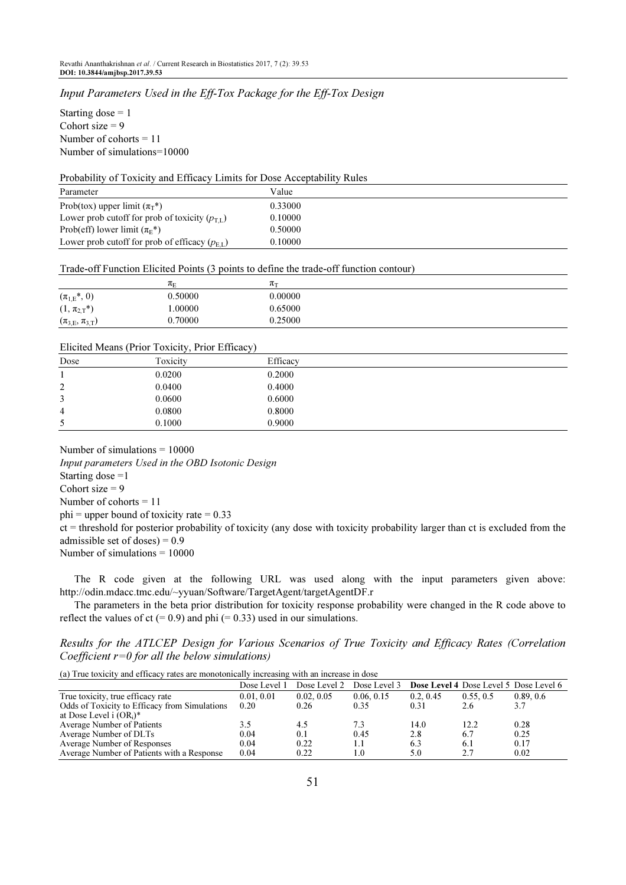Input Parameters Used in the Eff-Tox Package for the Eff-Tox Design

Starting dose  $= 1$ Cohort size  $= 9$ Number of cohorts  $= 11$ Number of simulations=10000

Probability of Toxicity and Efficacy Limits for Dose Acceptability Rules

| Parameter                                                | Value   |
|----------------------------------------------------------|---------|
| Prob(tox) upper limit $(\pi_{\tau}^*)$                   | 0.33000 |
| Lower prob cutoff for prob of toxicity $(p_{\text{TL}})$ | 0.10000 |
| Prob(eff) lower limit $(\pi_F^*)$                        | 0.50000 |
| Lower prob cutoff for prob of efficacy $(p_{F,L})$       | 0.10000 |

#### Trade-off Function Elicited Points (3 points to define the trade-off function contour)

|                          | $\pi_{\textrm{\tiny{F}}}$ | $\pi_{\scriptscriptstyle{\text{T}}}$ |
|--------------------------|---------------------------|--------------------------------------|
| $(\pi_{1,E}^*, 0)$       | 0.50000                   | 0.00000                              |
| $(1, \pi_{2,T}^*)$       | .00000                    | 0.65000                              |
| $(\pi_{3,E}, \pi_{3,T})$ | 0.70000                   | 0.25000                              |

#### Elicited Means (Prior Toxicity, Prior Efficacy)

|        | - ---- <i>- -------; , - ---- –--------; ,</i> , |          |  |
|--------|--------------------------------------------------|----------|--|
| Dose   | Toxicity                                         | Efficacy |  |
|        | 0.0200                                           | 0.2000   |  |
| C<br>∠ | 0.0400                                           | 0.4000   |  |
| 3      | 0.0600                                           | 0.6000   |  |
| 4      | 0.0800                                           | 0.8000   |  |
| 5      | 0.1000                                           | 0.9000   |  |

Number of simulations = 10000

Input parameters Used in the OBD Isotonic Design Starting dose =1 Cohort size  $= 9$ Number of cohorts = 11 phi = upper bound of toxicity rate =  $0.33$ ct = threshold for posterior probability of toxicity (any dose with toxicity probability larger than ct is excluded from the admissible set of doses)  $= 0.9$ Number of simulations = 10000

The R code given at the following URL was used along with the input parameters given above: http://odin.mdacc.tmc.edu/~yyuan/Software/TargetAgent/targetAgentDF.r

The parameters in the beta prior distribution for toxicity response probability were changed in the R code above to reflect the values of ct (= 0.9) and phi (= 0.33) used in our simulations.

Results for the ATLCEP Design for Various Scenarios of True Toxicity and Efficacy Rates (Correlation Coefficient  $r=0$  for all the below simulations)

(a) True toxicity and efficacy rates are monotonically increasing with an increase in dose

| (a) True toment, and errically rates are monotomean, mercasing with an increase in dose |              |              |              |           |           |                                               |  |
|-----------------------------------------------------------------------------------------|--------------|--------------|--------------|-----------|-----------|-----------------------------------------------|--|
|                                                                                         | Dose Level 1 | Dose Level 2 | Dose Level 3 |           |           | <b>Dose Level 4</b> Dose Level 5 Dose Level 6 |  |
| True toxicity, true efficacy rate                                                       | 0.01, 0.01   | 0.02, 0.05   | 0.06, 0.15   | 0.2, 0.45 | 0.55, 0.5 | 0.89, 0.6                                     |  |
| Odds of Toxicity to Efficacy from Simulations                                           | 0.20         | 0.26         | 0.35         | 0.31      | 2.6       | 3.7                                           |  |
| at Dose Level i $(OR_i)^*$                                                              |              |              |              |           |           |                                               |  |
| Average Number of Patients                                                              | 3.5          | 4.5          | 7.3          | 14.0      | 12.2      | 0.28                                          |  |
| Average Number of DLTs                                                                  | 0.04         | 0.1          | 0.45         | 2.8       | 6.7       | 0.25                                          |  |
| Average Number of Responses                                                             | 0.04         | 0.22         | 1.1          | 6.3       | 6.1       | 0.17                                          |  |
| Average Number of Patients with a Response                                              | 0.04         | 0.22         | 1.0          | 5.0       | 2.7       | 0.02                                          |  |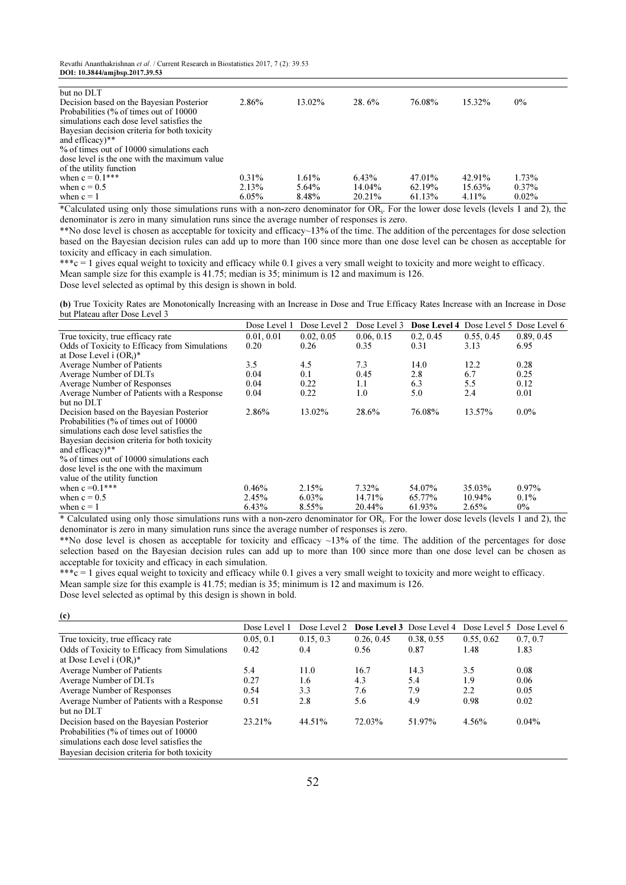Revathi Ananthakrishnan et al. / Current Research in Biostatistics 2017, 7 (2): 39.53 DOI: 10.3844/amjbsp.2017.39.53

| but no DLT                                   |          |           |           |        |          |          |
|----------------------------------------------|----------|-----------|-----------|--------|----------|----------|
| Decision based on the Bayesian Posterior     | 2.86%    | $13.02\%$ | 28.6%     | 76.08% | 15.32%   | $0\%$    |
| Probabilities (% of times out of 10000)      |          |           |           |        |          |          |
| simulations each dose level satisfies the    |          |           |           |        |          |          |
| Bayesian decision criteria for both toxicity |          |           |           |        |          |          |
| and efficacy)**                              |          |           |           |        |          |          |
| % of times out of 10000 simulations each     |          |           |           |        |          |          |
| dose level is the one with the maximum value |          |           |           |        |          |          |
| of the utility function                      |          |           |           |        |          |          |
| when $c = 0.1$ ***                           | $0.31\%$ | $1.61\%$  | 6.43%     | 47.01% | 42.91%   | $1.73\%$ |
| when $c = 0.5$                               | $2.13\%$ | 5.64%     | $14.04\%$ | 62.19% | 15.63%   | $0.37\%$ |
| when $c = 1$                                 | $6.05\%$ | 8.48%     | 20.21%    | 61.13% | $4.11\%$ | $0.02\%$ |
|                                              |          |           |           |        |          |          |

\*Calculated using only those simulations runs with a non-zero denominator for  $OR_i$ . For the lower dose levels (levels 1 and 2), the denominator is zero in many simulation runs since the average number of responses is zero.

\*\*No dose level is chosen as acceptable for toxicity and efficacy~13% of the time. The addition of the percentages for dose selection based on the Bayesian decision rules can add up to more than 100 since more than one dose level can be chosen as acceptable for toxicity and efficacy in each simulation.

\*\*\*c = 1 gives equal weight to toxicity and efficacy while 0.1 gives a very small weight to toxicity and more weight to efficacy. Mean sample size for this example is 41.75; median is 35; minimum is 12 and maximum is 126.

Dose level selected as optimal by this design is shown in bold.

(b) True Toxicity Rates are Monotonically Increasing with an Increase in Dose and True Efficacy Rates Increase with an Increase in Dose but Plateau after Dose Level 3

|                                               | Dose Level 1 | Dose Level 2 | Dose Level 3 | Dose Level 4 | Dose Level 5 Dose Level 6 |            |
|-----------------------------------------------|--------------|--------------|--------------|--------------|---------------------------|------------|
| True toxicity, true efficacy rate             | 0.01, 0.01   | 0.02, 0.05   | 0.06, 0.15   | 0.2, 0.45    | 0.55, 0.45                | 0.89, 0.45 |
| Odds of Toxicity to Efficacy from Simulations | 0.20         | 0.26         | 0.35         | 0.31         | 3.13                      | 6.95       |
| at Dose Level i $(OR_i)^*$                    |              |              |              |              |                           |            |
| <b>Average Number of Patients</b>             | 3.5          | 4.5          | 7.3          | 14.0         | 12.2                      | 0.28       |
| Average Number of DLTs                        | 0.04         | 0.1          | 0.45         | 2.8          | 6.7                       | 0.25       |
| <b>Average Number of Responses</b>            | 0.04         | 0.22         | 1.1          | 6.3          | 5.5                       | 0.12       |
| Average Number of Patients with a Response    | 0.04         | 0.22         | 1.0          | 5.0          | 2.4                       | 0.01       |
| but no DLT                                    |              |              |              |              |                           |            |
| Decision based on the Bayesian Posterior      | 2.86%        | 13.02%       | 28.6%        | 76.08%       | 13.57%                    | $0.0\%$    |
| Probabilities (% of times out of 10000)       |              |              |              |              |                           |            |
| simulations each dose level satisfies the     |              |              |              |              |                           |            |
| Bayesian decision criteria for both toxicity  |              |              |              |              |                           |            |
| and efficacy)**                               |              |              |              |              |                           |            |
| % of times out of 10000 simulations each      |              |              |              |              |                           |            |
| dose level is the one with the maximum        |              |              |              |              |                           |            |
| value of the utility function                 |              |              |              |              |                           |            |
| when $c = 0.1***$                             | $0.46\%$     | 2.15%        | $7.32\%$     | 54.07%       | 35.03%                    | $0.97\%$   |
| when $c = 0.5$                                | 2.45%        | $6.03\%$     | 14.71%       | 65.77%       | 10.94%                    | $0.1\%$    |
| when $c = 1$                                  | 6.43%        | 8.55%        | 20.44%       | 61.93%       | $2.65\%$                  | $0\%$      |

\* Calculated using only those simulations runs with a non-zero denominator for OR<sup>i</sup> . For the lower dose levels (levels 1 and 2), the denominator is zero in many simulation runs since the average number of responses is zero.

\*\*No dose level is chosen as acceptable for toxicity and efficacy ~13% of the time. The addition of the percentages for dose selection based on the Bayesian decision rules can add up to more than 100 since more than one dose level can be chosen as acceptable for toxicity and efficacy in each simulation.

\*\*\*c = 1 gives equal weight to toxicity and efficacy while 0.1 gives a very small weight to toxicity and more weight to efficacy.

Mean sample size for this example is 41.75; median is 35; minimum is 12 and maximum is 126.

Dose level selected as optimal by this design is shown in bold.

| $\left( \mathbf{c}\right)$                    |              |              |            |                                  |            |                           |
|-----------------------------------------------|--------------|--------------|------------|----------------------------------|------------|---------------------------|
|                                               | Dose Level 1 | Dose Level 2 |            | <b>Dose Level 3</b> Dose Level 4 |            | Dose Level 5 Dose Level 6 |
| True toxicity, true efficacy rate             | 0.05, 0.1    | 0.15, 0.3    | 0.26, 0.45 | 0.38, 0.55                       | 0.55, 0.62 | 0.7, 0.7                  |
| Odds of Toxicity to Efficacy from Simulations | 0.42         | 0.4          | 0.56       | 0.87                             | 1.48       | 1.83                      |
| at Dose Level i $(OR_i)^*$                    |              |              |            |                                  |            |                           |
| Average Number of Patients                    | 5.4          | 11.0         | 16.7       | 14.3                             | 3.5        | 0.08                      |
| Average Number of DLTs                        | 0.27         | 1.6          | 4.3        | 5.4                              | 1.9        | 0.06                      |
| <b>Average Number of Responses</b>            | 0.54         | 3.3          | 7.6        | 7.9                              | 2.2        | 0.05                      |
| Average Number of Patients with a Response    | 0.51         | 2.8          | 5.6        | 4.9                              | 0.98       | 0.02                      |
| but no DLT                                    |              |              |            |                                  |            |                           |
| Decision based on the Bayesian Posterior      | 23.21%       | 44.51%       | 72.03%     | 51.97%                           | 4.56%      | $0.04\%$                  |
| Probabilities (% of times out of 10000)       |              |              |            |                                  |            |                           |
| simulations each dose level satisfies the     |              |              |            |                                  |            |                           |
| Bayesian decision criteria for both toxicity  |              |              |            |                                  |            |                           |
|                                               |              |              |            |                                  |            |                           |